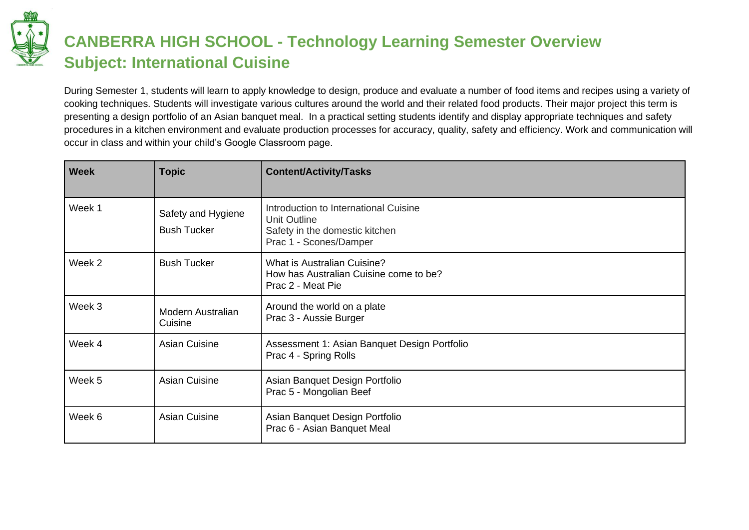

## **CANBERRA HIGH SCHOOL - Technology Learning Semester Overview Subject: International Cuisine**

During Semester 1, students will learn to apply knowledge to design, produce and evaluate a number of food items and recipes using a variety of cooking techniques. Students will investigate various cultures around the world and their related food products. Their major project this term is presenting a design portfolio of an Asian banquet meal. In a practical setting students identify and display appropriate techniques and safety procedures in a kitchen environment and evaluate production processes for accuracy, quality, safety and efficiency. Work and communication will occur in class and within your child's Google Classroom page.

| <b>Week</b> | <b>Topic</b>                             | <b>Content/Activity/Tasks</b>                                                                                     |
|-------------|------------------------------------------|-------------------------------------------------------------------------------------------------------------------|
| Week 1      | Safety and Hygiene<br><b>Bush Tucker</b> | Introduction to International Cuisine<br>Unit Outline<br>Safety in the domestic kitchen<br>Prac 1 - Scones/Damper |
| Week 2      | <b>Bush Tucker</b>                       | What is Australian Cuisine?<br>How has Australian Cuisine come to be?<br>Prac 2 - Meat Pie                        |
| Week 3      | <b>Modern Australian</b><br>Cuisine      | Around the world on a plate<br>Prac 3 - Aussie Burger                                                             |
| Week 4      | <b>Asian Cuisine</b>                     | Assessment 1: Asian Banquet Design Portfolio<br>Prac 4 - Spring Rolls                                             |
| Week 5      | <b>Asian Cuisine</b>                     | Asian Banquet Design Portfolio<br>Prac 5 - Mongolian Beef                                                         |
| Week 6      | <b>Asian Cuisine</b>                     | Asian Banquet Design Portfolio<br>Prac 6 - Asian Banquet Meal                                                     |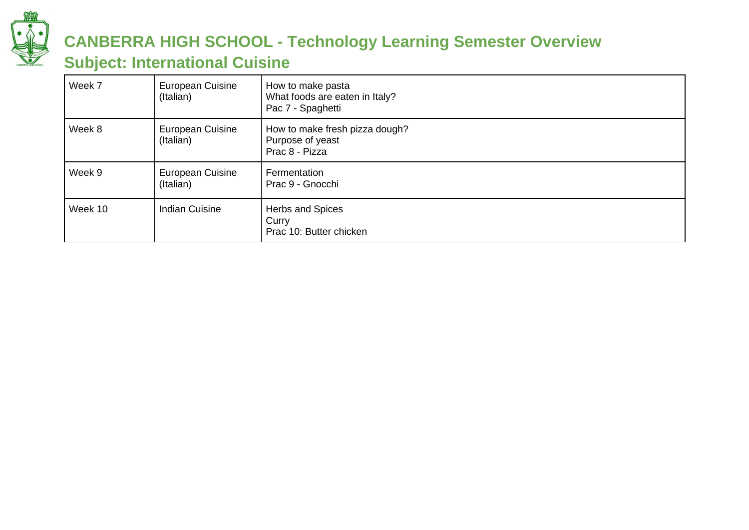

## **CANBERRA HIGH SCHOOL - Technology Learning Semester Overview**

#### **Subject: International Cuisine**

| Week 7  | <b>European Cuisine</b><br>(Italian) | How to make pasta<br>What foods are eaten in Italy?<br>Pac 7 - Spaghetti |
|---------|--------------------------------------|--------------------------------------------------------------------------|
| Week 8  | <b>European Cuisine</b><br>(Italian) | How to make fresh pizza dough?<br>Purpose of yeast<br>Prac 8 - Pizza     |
| Week 9  | European Cuisine<br>(Italian)        | Fermentation<br>Prac 9 - Gnocchi                                         |
| Week 10 | <b>Indian Cuisine</b>                | Herbs and Spices<br>Curry<br>Prac 10: Butter chicken                     |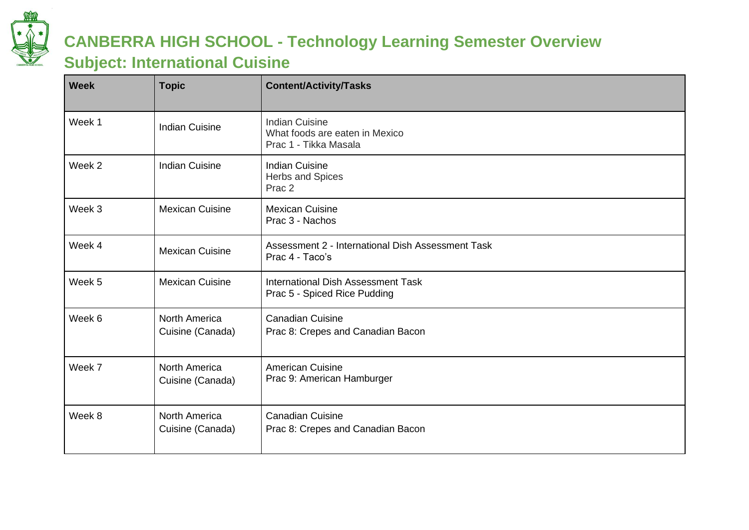

## **CANBERRA HIGH SCHOOL - Technology Learning Semester Overview**

#### **Subject: International Cuisine**

| <b>Week</b> | <b>Topic</b>                             | <b>Content/Activity/Tasks</b>                                                    |
|-------------|------------------------------------------|----------------------------------------------------------------------------------|
| Week 1      | <b>Indian Cuisine</b>                    | <b>Indian Cuisine</b><br>What foods are eaten in Mexico<br>Prac 1 - Tikka Masala |
| Week 2      | <b>Indian Cuisine</b>                    | <b>Indian Cuisine</b><br>Herbs and Spices<br>Prac <sub>2</sub>                   |
| Week 3      | <b>Mexican Cuisine</b>                   | <b>Mexican Cuisine</b><br>Prac 3 - Nachos                                        |
| Week 4      | <b>Mexican Cuisine</b>                   | Assessment 2 - International Dish Assessment Task<br>Prac 4 - Taco's             |
| Week 5      | <b>Mexican Cuisine</b>                   | International Dish Assessment Task<br>Prac 5 - Spiced Rice Pudding               |
| Week 6      | <b>North America</b><br>Cuisine (Canada) | <b>Canadian Cuisine</b><br>Prac 8: Crepes and Canadian Bacon                     |
| Week 7      | <b>North America</b><br>Cuisine (Canada) | <b>American Cuisine</b><br>Prac 9: American Hamburger                            |
| Week 8      | <b>North America</b><br>Cuisine (Canada) | <b>Canadian Cuisine</b><br>Prac 8: Crepes and Canadian Bacon                     |